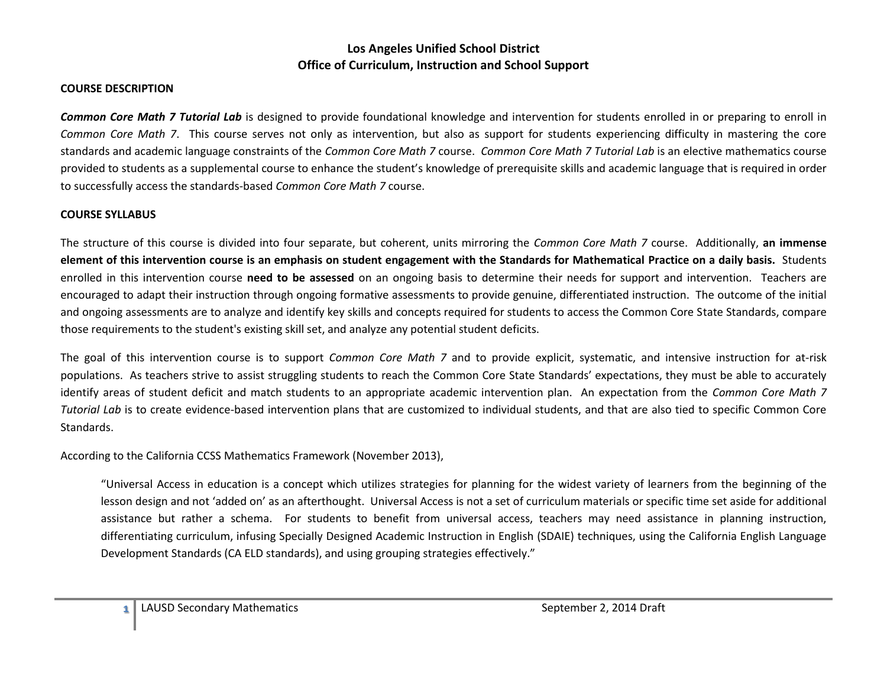#### **COURSE DESCRIPTION**

*Common Core Math 7 Tutorial Lab* is designed to provide foundational knowledge and intervention for students enrolled in or preparing to enroll in *Common Core Math 7*. This course serves not only as intervention, but also as support for students experiencing difficulty in mastering the core standards and academic language constraints of the *Common Core Math 7* course. *Common Core Math 7 Tutorial Lab* is an elective mathematics course provided to students as a supplemental course to enhance the student's knowledge of prerequisite skills and academic language that is required in order to successfully access the standards-based *Common Core Math 7* course.

#### **COURSE SYLLABUS**

The structure of this course is divided into four separate, but coherent, units mirroring the *Common Core Math 7* course. Additionally, **an immense element of this intervention course is an emphasis on student engagement with the Standards for Mathematical Practice on a daily basis.** Students enrolled in this intervention course **need to be assessed** on an ongoing basis to determine their needs for support and intervention. Teachers are encouraged to adapt their instruction through ongoing formative assessments to provide genuine, differentiated instruction. The outcome of the initial and ongoing assessments are to analyze and identify key skills and concepts required for students to access the Common Core State Standards, compare those requirements to the student's existing skill set, and analyze any potential student deficits.

The goal of this intervention course is to support *Common Core Math 7* and to provide explicit, systematic, and intensive instruction for at-risk populations. As teachers strive to assist struggling students to reach the Common Core State Standards' expectations, they must be able to accurately identify areas of student deficit and match students to an appropriate academic intervention plan. An expectation from the *Common Core Math 7 Tutorial Lab* is to create evidence-based intervention plans that are customized to individual students, and that are also tied to specific Common Core Standards.

According to the California CCSS Mathematics Framework (November 2013),

"Universal Access in education is a concept which utilizes strategies for planning for the widest variety of learners from the beginning of the lesson design and not 'added on' as an afterthought. Universal Access is not a set of curriculum materials or specific time set aside for additional assistance but rather a schema. For students to benefit from universal access, teachers may need assistance in planning instruction, differentiating curriculum, infusing Specially Designed Academic Instruction in English (SDAIE) techniques, using the California English Language Development Standards (CA ELD standards), and using grouping strategies effectively."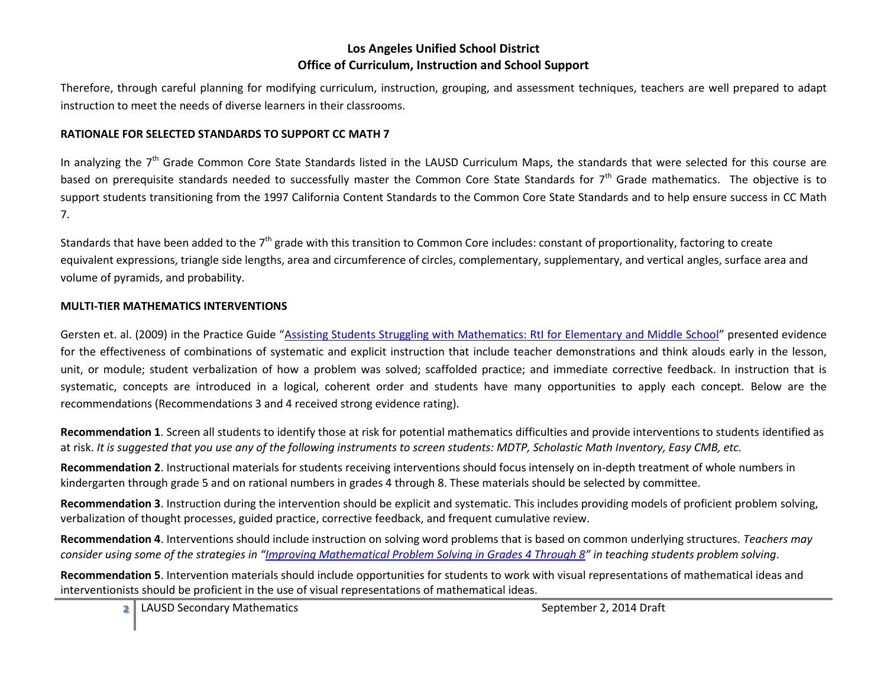Therefore, through careful planning for modifying curriculum, instruction, grouping, and assessment techniques, teachers are well prepared to adapt instruction to meet the needs of diverse learners in their classrooms.

#### **RATIONALE FOR SELECTED STANDARDS TO SUPPORT CC MATH 7**

In analyzing the 7<sup>th</sup> Grade Common Core State Standards listed in the LAUSD Curriculum Maps, the standards that were selected for this course are based on prerequisite standards needed to successfully master the Common Core State Standards for 7<sup>th</sup> Grade mathematics. The objective is to support students transitioning from the 1997 California Content Standards to the Common Core State Standards and to help ensure success in CC Math 7.

Standards that have been added to the 7<sup>th</sup> grade with this transition to Common Core includes: constant of proportionality, factoring to create equivalent expressions, triangle side lengths, area and circumference of circles, complementary, supplementary, and vertical angles, surface area and volume of pyramids, and probability.

#### **MULTI-TIER MATHEMATICS INTERVENTIONS**

Gersten et. al. (2009) in the Practice Guide "[Assisting Students Struggling with Mathematics: RtI for Elementary and Middle School](http://ies.ed.gov/ncee/wwc/pdf/practice_guides/rti_math_pg_042109.pdf)" presented evidence for the effectiveness of combinations of systematic and explicit instruction that include teacher demonstrations and think alouds early in the lesson, unit, or module; student verbalization of how a problem was solved; scaffolded practice; and immediate corrective feedback. In instruction that is systematic, concepts are introduced in a logical, coherent order and students have many opportunities to apply each concept. Below are the recommendations (Recommendations 3 and 4 received strong evidence rating).

**Recommendation 1**. Screen all students to identify those at risk for potential mathematics difficulties and provide interventions to students identified as at risk. *It is suggested that you use any of the following instruments to screen students: MDTP, Scholastic Math Inventory, Easy CMB, etc.*

**Recommendation 2**. Instructional materials for students receiving interventions should focus intensely on in-depth treatment of whole numbers in kindergarten through grade 5 and on rational numbers in grades 4 through 8. These materials should be selected by committee.

**Recommendation 3**. Instruction during the intervention should be explicit and systematic. This includes providing models of proficient problem solving, verbalization of thought processes, guided practice, corrective feedback, and frequent cumulative review.

**Recommendation 4**. Interventions should include instruction on solving word problems that is based on common underlying structures. *Teachers may consider using some of the strategies in "[Improving Mathematical Problem Solving in Grades 4 Through 8](http://ies.ed.gov/ncee/wwc/pdf/practice_guides/mps_pg_052212.pdf)" in teaching students problem solving*.

**Recommendation 5**. Intervention materials should include opportunities for students to work with visual representations of mathematical ideas and interventionists should be proficient in the use of visual representations of mathematical ideas.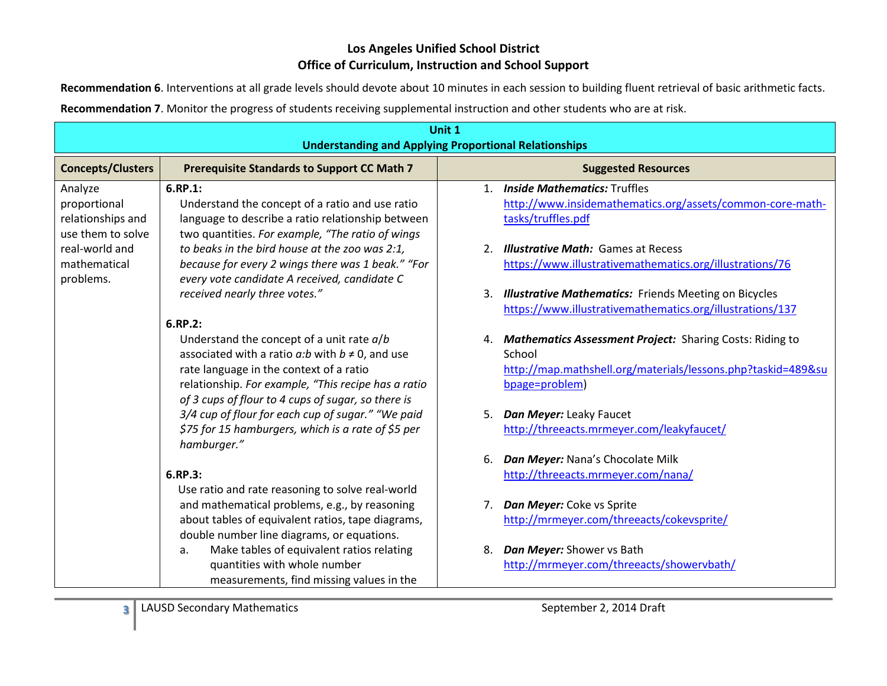**Recommendation 6**. Interventions at all grade levels should devote about 10 minutes in each session to building fluent retrieval of basic arithmetic facts.

| Unit 1<br><b>Understanding and Applying Proportional Relationships</b> |                                                                                                   |                                                              |
|------------------------------------------------------------------------|---------------------------------------------------------------------------------------------------|--------------------------------------------------------------|
| <b>Concepts/Clusters</b>                                               | <b>Prerequisite Standards to Support CC Math 7</b>                                                | <b>Suggested Resources</b>                                   |
| Analyze                                                                | 6.RP.1:                                                                                           | 1. Inside Mathematics: Truffles                              |
| proportional                                                           | Understand the concept of a ratio and use ratio                                                   | http://www.insidemathematics.org/assets/common-core-math-    |
| relationships and                                                      | language to describe a ratio relationship between                                                 | tasks/truffles.pdf                                           |
| use them to solve                                                      | two quantities. For example, "The ratio of wings                                                  |                                                              |
| real-world and                                                         | to beaks in the bird house at the zoo was 2:1,                                                    | 2. Illustrative Math: Games at Recess                        |
| mathematical<br>problems.                                              | because for every 2 wings there was 1 beak." "For<br>every vote candidate A received, candidate C | https://www.illustrativemathematics.org/illustrations/76     |
|                                                                        | received nearly three votes."                                                                     | 3. Illustrative Mathematics: Friends Meeting on Bicycles     |
|                                                                        |                                                                                                   | https://www.illustrativemathematics.org/illustrations/137    |
|                                                                        | 6.RP.2:                                                                                           |                                                              |
|                                                                        | Understand the concept of a unit rate $a/b$                                                       | 4. Mathematics Assessment Project: Sharing Costs: Riding to  |
|                                                                        | associated with a ratio $a:b$ with $b \neq 0$ , and use                                           | School                                                       |
|                                                                        | rate language in the context of a ratio                                                           | http://map.mathshell.org/materials/lessons.php?taskid=489&su |
|                                                                        | relationship. For example, "This recipe has a ratio                                               | bpage=problem)                                               |
|                                                                        | of 3 cups of flour to 4 cups of sugar, so there is                                                |                                                              |
|                                                                        | 3/4 cup of flour for each cup of sugar." "We paid                                                 | 5. Dan Meyer: Leaky Faucet                                   |
|                                                                        | \$75 for 15 hamburgers, which is a rate of \$5 per<br>hamburger."                                 | http://threeacts.mrmeyer.com/leakyfaucet/                    |
|                                                                        |                                                                                                   | Dan Meyer: Nana's Chocolate Milk<br>6.                       |
|                                                                        | 6.RP.3:                                                                                           | http://threeacts.mrmeyer.com/nana/                           |
|                                                                        | Use ratio and rate reasoning to solve real-world                                                  |                                                              |
|                                                                        | and mathematical problems, e.g., by reasoning                                                     | 7. Dan Meyer: Coke vs Sprite                                 |
|                                                                        | about tables of equivalent ratios, tape diagrams,                                                 | http://mrmeyer.com/threeacts/cokevsprite/                    |
|                                                                        | double number line diagrams, or equations.                                                        |                                                              |
|                                                                        | Make tables of equivalent ratios relating<br>a.                                                   | 8. Dan Meyer: Shower vs Bath                                 |
|                                                                        | quantities with whole number                                                                      | http://mrmeyer.com/threeacts/showervbath/                    |
|                                                                        | measurements, find missing values in the                                                          |                                                              |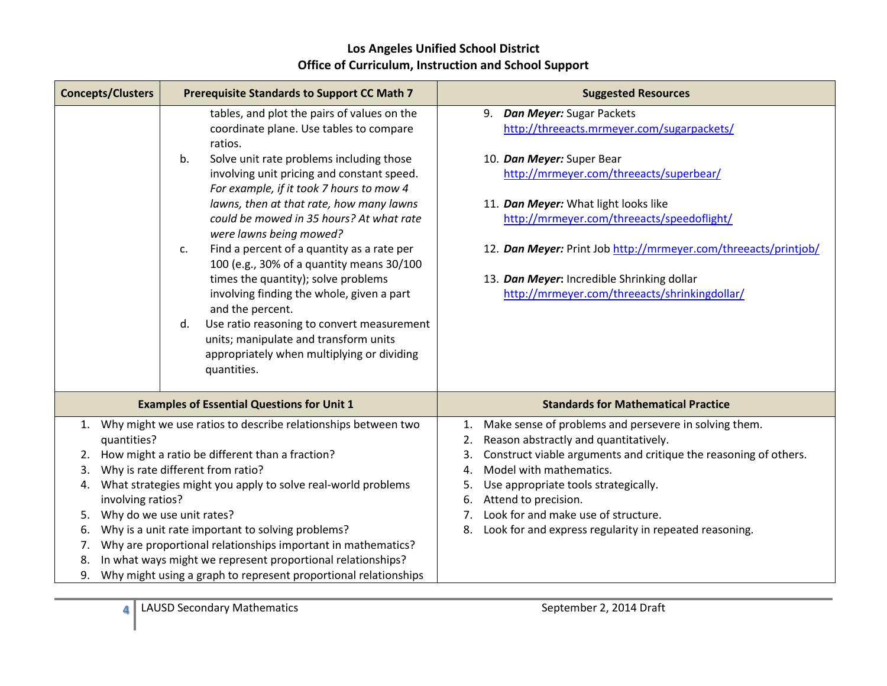|                                                                                                                                                                                                                                                                                                                                                                                                                                                                                                                                                                                                                                                                                                                                     | <b>Suggested Resources</b>                                                                                                                                                                                                                                                                                                                                                                                     |
|-------------------------------------------------------------------------------------------------------------------------------------------------------------------------------------------------------------------------------------------------------------------------------------------------------------------------------------------------------------------------------------------------------------------------------------------------------------------------------------------------------------------------------------------------------------------------------------------------------------------------------------------------------------------------------------------------------------------------------------|----------------------------------------------------------------------------------------------------------------------------------------------------------------------------------------------------------------------------------------------------------------------------------------------------------------------------------------------------------------------------------------------------------------|
| tables, and plot the pairs of values on the<br>coordinate plane. Use tables to compare<br>ratios.<br>Solve unit rate problems including those<br>b.<br>involving unit pricing and constant speed.<br>For example, if it took 7 hours to mow 4<br>lawns, then at that rate, how many lawns<br>could be mowed in 35 hours? At what rate<br>were lawns being mowed?<br>Find a percent of a quantity as a rate per<br>c.<br>100 (e.g., 30% of a quantity means 30/100<br>times the quantity); solve problems<br>involving finding the whole, given a part<br>and the percent.<br>Use ratio reasoning to convert measurement<br>d.<br>units; manipulate and transform units<br>appropriately when multiplying or dividing<br>quantities. | 9. Dan Meyer: Sugar Packets<br>http://threeacts.mrmeyer.com/sugarpackets/<br>10. Dan Meyer: Super Bear<br>http://mrmeyer.com/threeacts/superbear/<br>11. Dan Meyer: What light looks like<br>http://mrmeyer.com/threeacts/speedoflight/<br>12. Dan Meyer: Print Job http://mrmeyer.com/threeacts/printjob/<br>13. Dan Meyer: Incredible Shrinking dollar<br>http://mrmeyer.com/threeacts/shrinkingdollar/      |
| <b>Examples of Essential Questions for Unit 1</b>                                                                                                                                                                                                                                                                                                                                                                                                                                                                                                                                                                                                                                                                                   | <b>Standards for Mathematical Practice</b>                                                                                                                                                                                                                                                                                                                                                                     |
| How might a ratio be different than a fraction?<br>Why is rate different from ratio?<br>What strategies might you apply to solve real-world problems<br>involving ratios?<br>Why do we use unit rates?<br>Why is a unit rate important to solving problems?<br>Why are proportional relationships important in mathematics?<br>In what ways might we represent proportional relationships?                                                                                                                                                                                                                                                                                                                                          | Make sense of problems and persevere in solving them.<br>1.<br>Reason abstractly and quantitatively.<br>2.<br>Construct viable arguments and critique the reasoning of others.<br>3.<br>Model with mathematics.<br>4.<br>Use appropriate tools strategically.<br>5.<br>Attend to precision.<br>6.<br>Look for and make use of structure.<br>7.<br>Look for and express regularity in repeated reasoning.<br>8. |
|                                                                                                                                                                                                                                                                                                                                                                                                                                                                                                                                                                                                                                                                                                                                     | Why might we use ratios to describe relationships between two<br>Why might using a graph to represent proportional relationships                                                                                                                                                                                                                                                                               |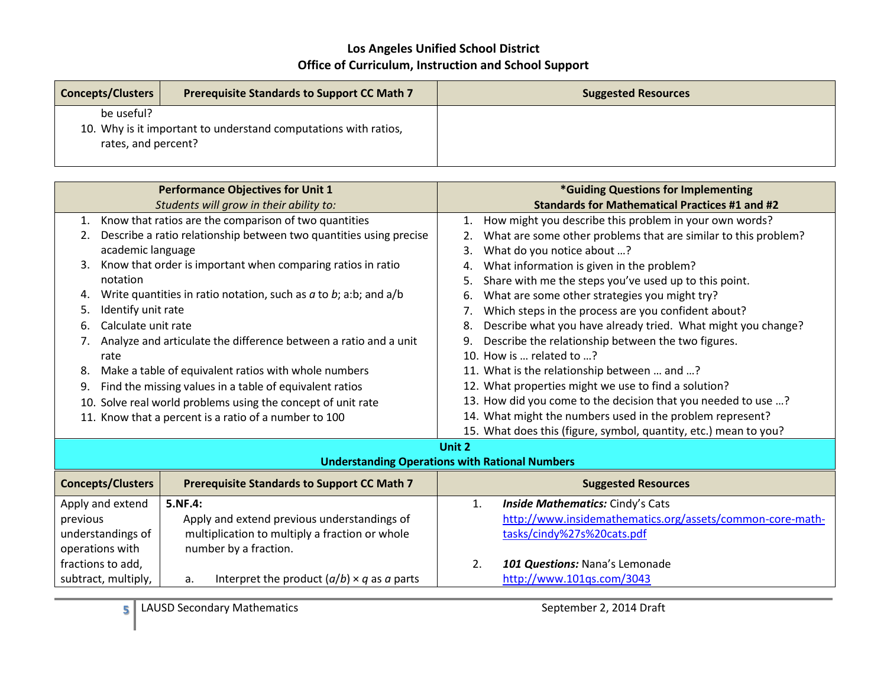| <b>Concepts/Clusters</b>                                                                             | <b>Prerequisite Standards to Support CC Math 7</b> | <b>Suggested Resources</b> |
|------------------------------------------------------------------------------------------------------|----------------------------------------------------|----------------------------|
| be useful?<br>10. Why is it important to understand computations with ratios,<br>rates, and percent? |                                                    |                            |

| <b>Performance Objectives for Unit 1</b>                                       |                                                                       | *Guiding Questions for Implementing                                  |
|--------------------------------------------------------------------------------|-----------------------------------------------------------------------|----------------------------------------------------------------------|
| Students will grow in their ability to:                                        |                                                                       | <b>Standards for Mathematical Practices #1 and #2</b>                |
| Know that ratios are the comparison of two quantities<br>1.                    |                                                                       | How might you describe this problem in your own words?<br>1.         |
| 2.                                                                             | Describe a ratio relationship between two quantities using precise    | What are some other problems that are similar to this problem?<br>2. |
| academic language                                                              |                                                                       | What do you notice about ?<br>3.                                     |
| 3.                                                                             | Know that order is important when comparing ratios in ratio           | What information is given in the problem?<br>4.                      |
| notation                                                                       |                                                                       | Share with me the steps you've used up to this point.<br>5.          |
| 4.                                                                             | Write quantities in ratio notation, such as $a$ to $b$ ; a:b; and a/b | What are some other strategies you might try?<br>6.                  |
| Identify unit rate<br>5.                                                       |                                                                       | Which steps in the process are you confident about?<br>7.            |
| Calculate unit rate<br>6.                                                      |                                                                       | Describe what you have already tried. What might you change?<br>8.   |
| 7.                                                                             | Analyze and articulate the difference between a ratio and a unit      | Describe the relationship between the two figures.<br>9.             |
| rate                                                                           |                                                                       | 10. How is  related to ?                                             |
| 8.                                                                             | Make a table of equivalent ratios with whole numbers                  | 11. What is the relationship between  and ?                          |
| Find the missing values in a table of equivalent ratios<br>9.                  |                                                                       | 12. What properties might we use to find a solution?                 |
| Solve real world problems using the concept of unit rate<br>10.                |                                                                       | 13. How did you come to the decision that you needed to use ?        |
| 11. Know that a percent is a ratio of a number to 100                          |                                                                       | 14. What might the numbers used in the problem represent?            |
|                                                                                |                                                                       | 15. What does this (figure, symbol, quantity, etc.) mean to you?     |
|                                                                                |                                                                       | Unit 2                                                               |
| <b>Understanding Operations with Rational Numbers</b>                          |                                                                       |                                                                      |
| <b>Concepts/Clusters</b><br><b>Prerequisite Standards to Support CC Math 7</b> |                                                                       | <b>Suggested Resources</b>                                           |
| Apply and extend                                                               | 5.NF.4:                                                               | Inside Mathematics: Cindy's Cats<br>1.                               |
| previous                                                                       | Apply and extend previous understandings of                           | http://www.insidemathematics.org/assets/common-core-math-            |
| understandings of<br>multiplication to multiply a fraction or whole            |                                                                       | tasks/cindy%27s%20cats.pdf                                           |
| operations with                                                                | number by a fraction.                                                 |                                                                      |

2. *101 Questions:* Nana's Lemonade <http://www.101qs.com/3043>

**5** LAUSD Secondary Mathematics September 2, 2014 Draft

a. Interpret the product (*a*/*b*) × *q* as *a* parts

operations with fractions to add, subtract, multiply,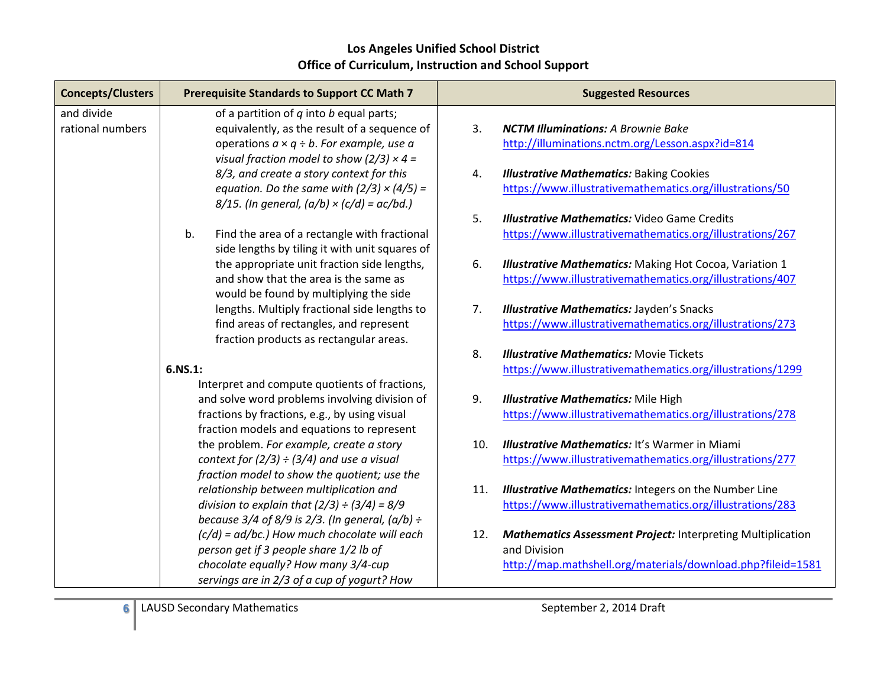| <b>Concepts/Clusters</b> | <b>Prerequisite Standards to Support CC Math 7</b>                                                   | <b>Suggested Resources</b>                                                |
|--------------------------|------------------------------------------------------------------------------------------------------|---------------------------------------------------------------------------|
| and divide               | of a partition of $q$ into $b$ equal parts;                                                          |                                                                           |
| rational numbers         | equivalently, as the result of a sequence of                                                         | 3.<br><b>NCTM Illuminations: A Brownie Bake</b>                           |
|                          | operations $a \times q \div b$ . For example, use a                                                  | http://illuminations.nctm.org/Lesson.aspx?id=814                          |
|                          | visual fraction model to show (2/3) $\times$ 4 =                                                     |                                                                           |
|                          | 8/3, and create a story context for this                                                             | <b>Illustrative Mathematics: Baking Cookies</b><br>4.                     |
|                          | equation. Do the same with $(2/3) \times (4/5) =$                                                    | https://www.illustrativemathematics.org/illustrations/50                  |
|                          | $8/15$ . (In general, $(a/b) \times (c/d) = ac/bd$ .)                                                |                                                                           |
|                          |                                                                                                      | 5.<br><b>Illustrative Mathematics: Video Game Credits</b>                 |
|                          | b.<br>Find the area of a rectangle with fractional<br>side lengths by tiling it with unit squares of | https://www.illustrativemathematics.org/illustrations/267                 |
|                          | the appropriate unit fraction side lengths,                                                          | 6.<br><b>Illustrative Mathematics:</b> Making Hot Cocoa, Variation 1      |
|                          | and show that the area is the same as                                                                | https://www.illustrativemathematics.org/illustrations/407                 |
|                          | would be found by multiplying the side                                                               |                                                                           |
|                          | lengths. Multiply fractional side lengths to                                                         | <b>Illustrative Mathematics: Jayden's Snacks</b><br>7.                    |
|                          | find areas of rectangles, and represent                                                              | https://www.illustrativemathematics.org/illustrations/273                 |
|                          | fraction products as rectangular areas.                                                              |                                                                           |
|                          |                                                                                                      | 8.<br><b>Illustrative Mathematics: Movie Tickets</b>                      |
|                          | 6.NS.1:                                                                                              | https://www.illustrativemathematics.org/illustrations/1299                |
|                          | Interpret and compute quotients of fractions,                                                        |                                                                           |
|                          | and solve word problems involving division of                                                        | 9.<br><b>Illustrative Mathematics: Mile High</b>                          |
|                          | fractions by fractions, e.g., by using visual                                                        | https://www.illustrativemathematics.org/illustrations/278                 |
|                          | fraction models and equations to represent                                                           |                                                                           |
|                          | the problem. For example, create a story                                                             | <b>Illustrative Mathematics: It's Warmer in Miami</b><br>10.              |
|                          | context for $(2/3) \div (3/4)$ and use a visual                                                      | https://www.illustrativemathematics.org/illustrations/277                 |
|                          | fraction model to show the quotient; use the                                                         |                                                                           |
|                          | relationship between multiplication and                                                              | <b>Illustrative Mathematics:</b> Integers on the Number Line<br>11.       |
|                          | division to explain that $(2/3) \div (3/4) = 8/9$                                                    | https://www.illustrativemathematics.org/illustrations/283                 |
|                          | because $3/4$ of $8/9$ is $2/3$ . (In general, $(a/b) \div$                                          |                                                                           |
|                          | $(c/d)$ = ad/bc.) How much chocolate will each                                                       | <b>Mathematics Assessment Project: Interpreting Multiplication</b><br>12. |
|                          | person get if 3 people share 1/2 lb of                                                               | and Division                                                              |
|                          | chocolate equally? How many 3/4-cup                                                                  | http://map.mathshell.org/materials/download.php?fileid=1581               |
|                          | servings are in 2/3 of a cup of yogurt? How                                                          |                                                                           |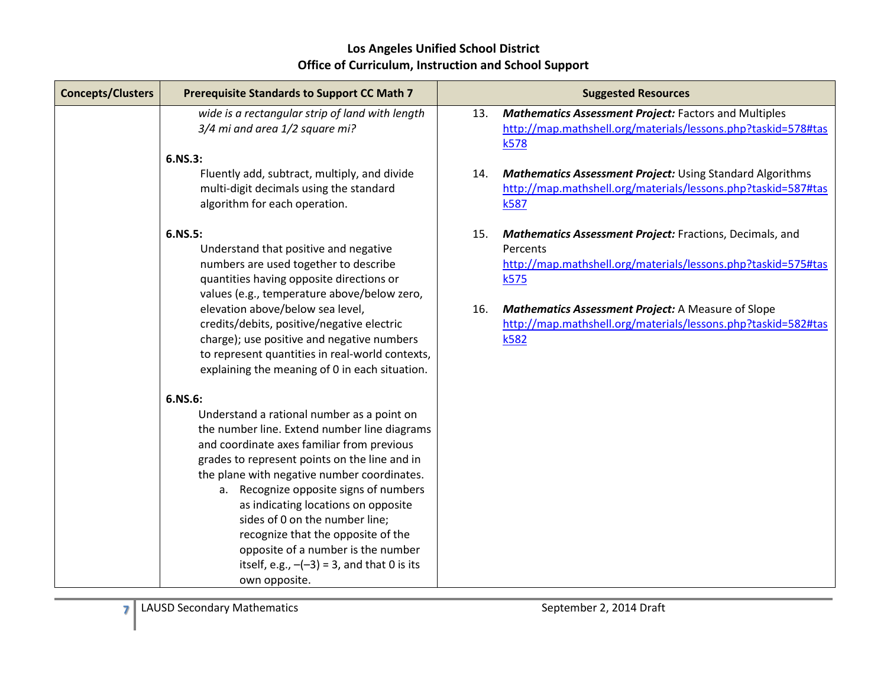| <b>Concepts/Clusters</b> | <b>Prerequisite Standards to Support CC Math 7</b>                                                                                                                                                                                                                                                                                                                                                                                                                                                                   | <b>Suggested Resources</b>                                                                                                                                                                                                                                                                 |
|--------------------------|----------------------------------------------------------------------------------------------------------------------------------------------------------------------------------------------------------------------------------------------------------------------------------------------------------------------------------------------------------------------------------------------------------------------------------------------------------------------------------------------------------------------|--------------------------------------------------------------------------------------------------------------------------------------------------------------------------------------------------------------------------------------------------------------------------------------------|
|                          | wide is a rectangular strip of land with length<br>3/4 mi and area 1/2 square mi?                                                                                                                                                                                                                                                                                                                                                                                                                                    | <b>Mathematics Assessment Project: Factors and Multiples</b><br>13.<br>http://map.mathshell.org/materials/lessons.php?taskid=578#tas<br>k578                                                                                                                                               |
|                          | 6.NS.3:                                                                                                                                                                                                                                                                                                                                                                                                                                                                                                              |                                                                                                                                                                                                                                                                                            |
|                          | Fluently add, subtract, multiply, and divide<br>multi-digit decimals using the standard<br>algorithm for each operation.                                                                                                                                                                                                                                                                                                                                                                                             | <b>Mathematics Assessment Project: Using Standard Algorithms</b><br>14.<br>http://map.mathshell.org/materials/lessons.php?taskid=587#tas<br>k587                                                                                                                                           |
|                          | 6.NS.5:<br>Understand that positive and negative<br>numbers are used together to describe<br>quantities having opposite directions or<br>values (e.g., temperature above/below zero,<br>elevation above/below sea level,<br>credits/debits, positive/negative electric<br>charge); use positive and negative numbers<br>to represent quantities in real-world contexts,<br>explaining the meaning of 0 in each situation.                                                                                            | Mathematics Assessment Project: Fractions, Decimals, and<br>15.<br>Percents<br>http://map.mathshell.org/materials/lessons.php?taskid=575#tas<br>k575<br>Mathematics Assessment Project: A Measure of Slope<br>16.<br>http://map.mathshell.org/materials/lessons.php?taskid=582#tas<br>k582 |
|                          | 6.NS.6:<br>Understand a rational number as a point on<br>the number line. Extend number line diagrams<br>and coordinate axes familiar from previous<br>grades to represent points on the line and in<br>the plane with negative number coordinates.<br>a. Recognize opposite signs of numbers<br>as indicating locations on opposite<br>sides of 0 on the number line;<br>recognize that the opposite of the<br>opposite of a number is the number<br>itself, e.g., $-(-3) = 3$ , and that 0 is its<br>own opposite. |                                                                                                                                                                                                                                                                                            |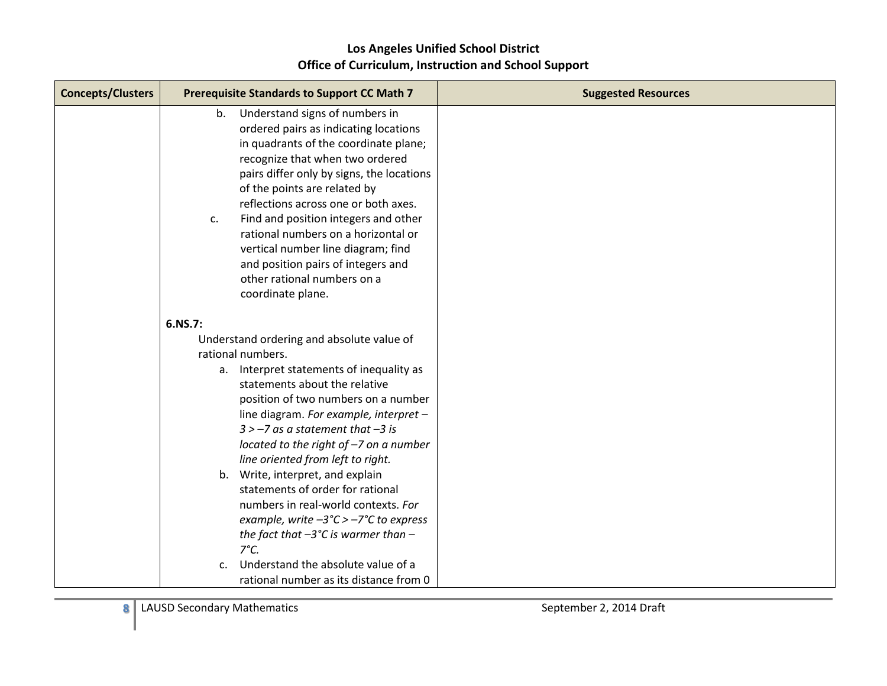| <b>Concepts/Clusters</b> | <b>Prerequisite Standards to Support CC Math 7</b>    | <b>Suggested Resources</b> |
|--------------------------|-------------------------------------------------------|----------------------------|
|                          | Understand signs of numbers in<br>b.                  |                            |
|                          | ordered pairs as indicating locations                 |                            |
|                          | in quadrants of the coordinate plane;                 |                            |
|                          | recognize that when two ordered                       |                            |
|                          | pairs differ only by signs, the locations             |                            |
|                          | of the points are related by                          |                            |
|                          | reflections across one or both axes.                  |                            |
|                          | Find and position integers and other<br>c.            |                            |
|                          | rational numbers on a horizontal or                   |                            |
|                          | vertical number line diagram; find                    |                            |
|                          | and position pairs of integers and                    |                            |
|                          | other rational numbers on a                           |                            |
|                          | coordinate plane.                                     |                            |
|                          | 6.NS.7:                                               |                            |
|                          | Understand ordering and absolute value of             |                            |
|                          | rational numbers.                                     |                            |
|                          | a. Interpret statements of inequality as              |                            |
|                          | statements about the relative                         |                            |
|                          | position of two numbers on a number                   |                            |
|                          | line diagram. For example, interpret -                |                            |
|                          | $3 > -7$ as a statement that $-3$ is                  |                            |
|                          | located to the right of -7 on a number                |                            |
|                          | line oriented from left to right.                     |                            |
|                          | b. Write, interpret, and explain                      |                            |
|                          | statements of order for rational                      |                            |
|                          | numbers in real-world contexts. For                   |                            |
|                          | example, write $-3^{\circ}C > -7^{\circ}C$ to express |                            |
|                          | the fact that $-3$ °C is warmer than $-$              |                            |
|                          | $7^{\circ}C.$                                         |                            |
|                          | Understand the absolute value of a<br>$C_{\cdot}$     |                            |
|                          | rational number as its distance from 0                |                            |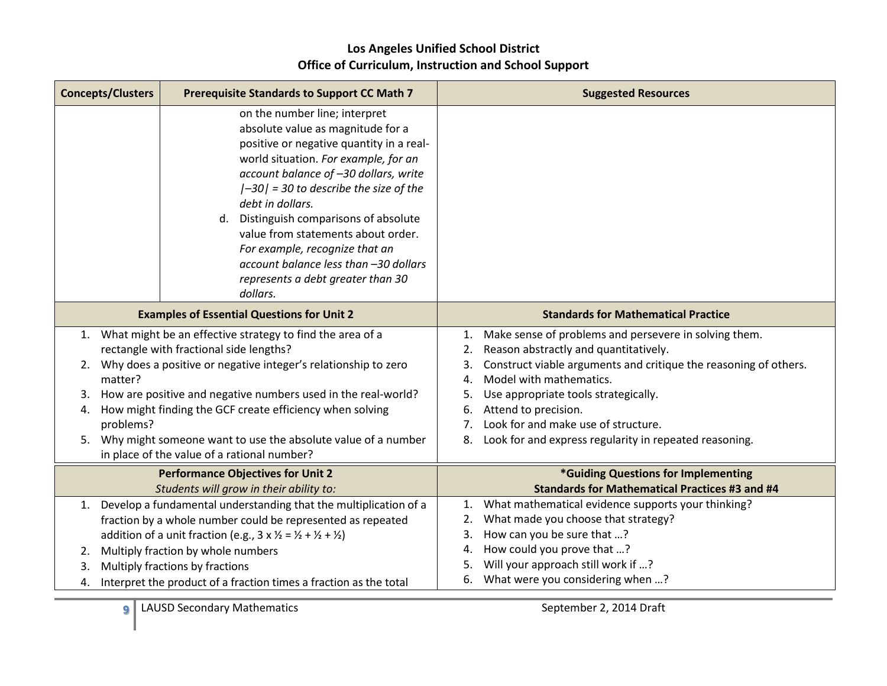| <b>Concepts/Clusters</b>                     | <b>Prerequisite Standards to Support CC Math 7</b>                                                                                                                                                                                                                                                                                                                                                                                                                          | <b>Suggested Resources</b>                                                                                                                                                                                                                                                                                                                                                                                     |
|----------------------------------------------|-----------------------------------------------------------------------------------------------------------------------------------------------------------------------------------------------------------------------------------------------------------------------------------------------------------------------------------------------------------------------------------------------------------------------------------------------------------------------------|----------------------------------------------------------------------------------------------------------------------------------------------------------------------------------------------------------------------------------------------------------------------------------------------------------------------------------------------------------------------------------------------------------------|
|                                              | on the number line; interpret<br>absolute value as magnitude for a<br>positive or negative quantity in a real-<br>world situation. For example, for an<br>account balance of -30 dollars, write<br>$ -30 $ = 30 to describe the size of the<br>debt in dollars.<br>d. Distinguish comparisons of absolute<br>value from statements about order.<br>For example, recognize that an<br>account balance less than -30 dollars<br>represents a debt greater than 30<br>dollars. |                                                                                                                                                                                                                                                                                                                                                                                                                |
|                                              | <b>Examples of Essential Questions for Unit 2</b>                                                                                                                                                                                                                                                                                                                                                                                                                           | <b>Standards for Mathematical Practice</b>                                                                                                                                                                                                                                                                                                                                                                     |
| 2.<br>matter?<br>3.<br>4.<br>problems?<br>5. | 1. What might be an effective strategy to find the area of a<br>rectangle with fractional side lengths?<br>Why does a positive or negative integer's relationship to zero<br>How are positive and negative numbers used in the real-world?<br>How might finding the GCF create efficiency when solving<br>Why might someone want to use the absolute value of a number<br>in place of the value of a rational number?                                                       | Make sense of problems and persevere in solving them.<br>1.<br>Reason abstractly and quantitatively.<br>2.<br>Construct viable arguments and critique the reasoning of others.<br>3.<br>Model with mathematics.<br>4.<br>Use appropriate tools strategically.<br>5.<br>Attend to precision.<br>6.<br>Look for and make use of structure.<br>7.<br>Look for and express regularity in repeated reasoning.<br>8. |
|                                              | <b>Performance Objectives for Unit 2</b><br>Students will grow in their ability to:                                                                                                                                                                                                                                                                                                                                                                                         | *Guiding Questions for Implementing<br><b>Standards for Mathematical Practices #3 and #4</b>                                                                                                                                                                                                                                                                                                                   |
| 1.<br>2.<br>3.<br>4.                         | Develop a fundamental understanding that the multiplication of a<br>fraction by a whole number could be represented as repeated<br>addition of a unit fraction (e.g., $3 \times \frac{1}{2} = \frac{1}{2} + \frac{1}{2} + \frac{1}{2}$ )<br>Multiply fraction by whole numbers<br>Multiply fractions by fractions<br>Interpret the product of a fraction times a fraction as the total                                                                                      | What mathematical evidence supports your thinking?<br>1.<br>What made you choose that strategy?<br>2.<br>How can you be sure that ?<br>3.<br>How could you prove that ?<br>4.<br>Will your approach still work if ?<br>5.<br>What were you considering when ?<br>6.                                                                                                                                            |

**9** LAUSD Secondary Mathematics September 2, 2014 Draft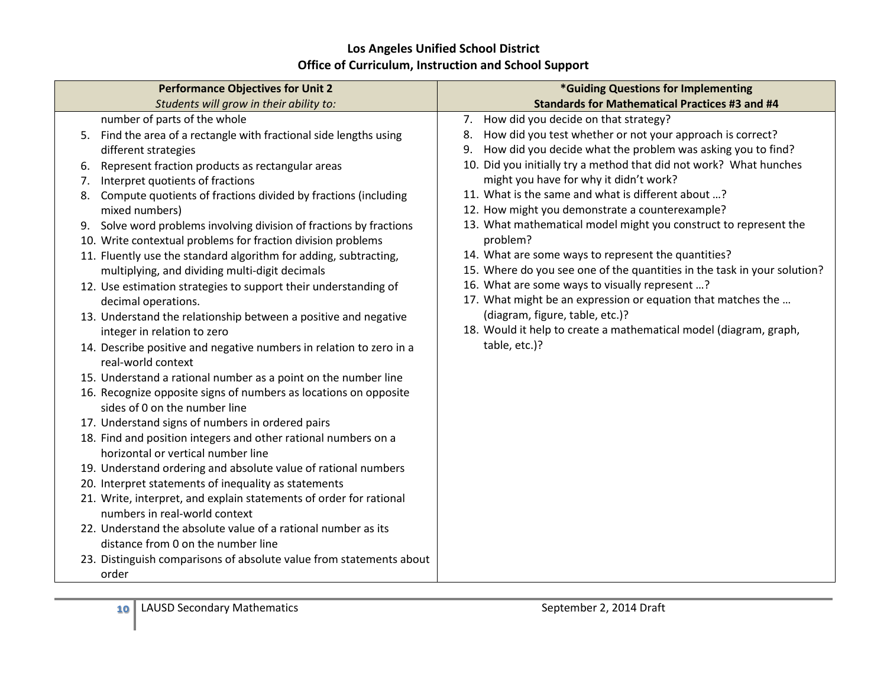| <b>Performance Objectives for Unit 2</b>                               | *Guiding Questions for Implementing                                      |  |
|------------------------------------------------------------------------|--------------------------------------------------------------------------|--|
| Students will grow in their ability to:                                | <b>Standards for Mathematical Practices #3 and #4</b>                    |  |
| number of parts of the whole                                           | 7. How did you decide on that strategy?                                  |  |
| Find the area of a rectangle with fractional side lengths using<br>5.  | How did you test whether or not your approach is correct?<br>8.          |  |
| different strategies                                                   | How did you decide what the problem was asking you to find?<br>9.        |  |
| Represent fraction products as rectangular areas<br>6.                 | 10. Did you initially try a method that did not work? What hunches       |  |
| Interpret quotients of fractions<br>7.                                 | might you have for why it didn't work?                                   |  |
| Compute quotients of fractions divided by fractions (including<br>8.   | 11. What is the same and what is different about ?                       |  |
| mixed numbers)                                                         | 12. How might you demonstrate a counterexample?                          |  |
| Solve word problems involving division of fractions by fractions<br>9. | 13. What mathematical model might you construct to represent the         |  |
| 10. Write contextual problems for fraction division problems           | problem?                                                                 |  |
| 11. Fluently use the standard algorithm for adding, subtracting,       | 14. What are some ways to represent the quantities?                      |  |
| multiplying, and dividing multi-digit decimals                         | 15. Where do you see one of the quantities in the task in your solution? |  |
| 12. Use estimation strategies to support their understanding of        | 16. What are some ways to visually represent ?                           |  |
| decimal operations.                                                    | 17. What might be an expression or equation that matches the             |  |
| 13. Understand the relationship between a positive and negative        | (diagram, figure, table, etc.)?                                          |  |
| integer in relation to zero                                            | 18. Would it help to create a mathematical model (diagram, graph,        |  |
| 14. Describe positive and negative numbers in relation to zero in a    | table, etc.)?                                                            |  |
| real-world context                                                     |                                                                          |  |
| 15. Understand a rational number as a point on the number line         |                                                                          |  |
| 16. Recognize opposite signs of numbers as locations on opposite       |                                                                          |  |
| sides of 0 on the number line                                          |                                                                          |  |
| 17. Understand signs of numbers in ordered pairs                       |                                                                          |  |
| 18. Find and position integers and other rational numbers on a         |                                                                          |  |
| horizontal or vertical number line                                     |                                                                          |  |
| 19. Understand ordering and absolute value of rational numbers         |                                                                          |  |
| 20. Interpret statements of inequality as statements                   |                                                                          |  |
| 21. Write, interpret, and explain statements of order for rational     |                                                                          |  |
| numbers in real-world context                                          |                                                                          |  |
| 22. Understand the absolute value of a rational number as its          |                                                                          |  |
| distance from 0 on the number line                                     |                                                                          |  |
| 23. Distinguish comparisons of absolute value from statements about    |                                                                          |  |
| order                                                                  |                                                                          |  |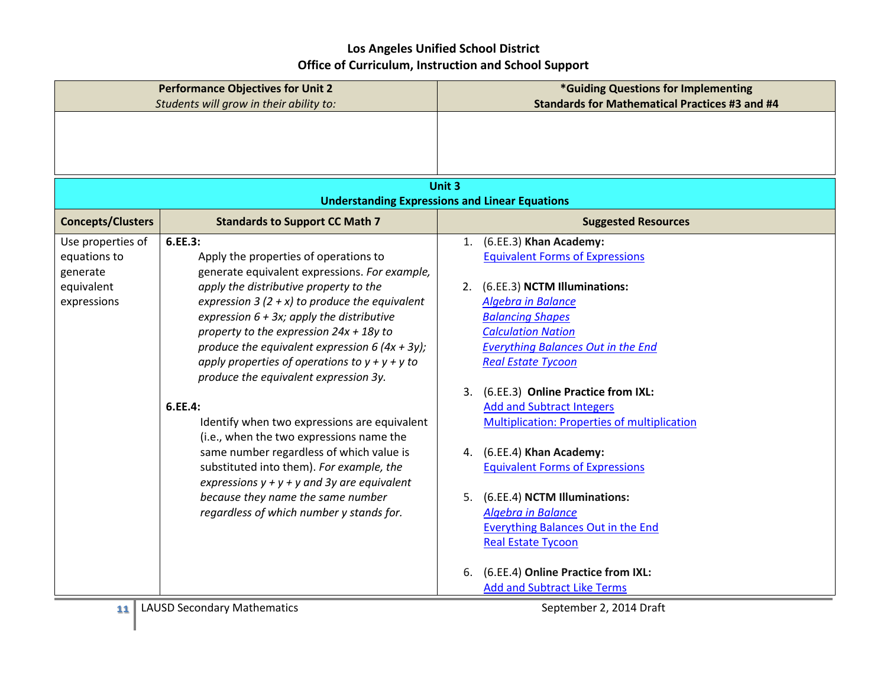|                                                                            | <b>Performance Objectives for Unit 2</b>                                                                                                                                                                                                                                                                                                                                                                                                                                                                                                                                                                                                                                                                                                                                      | *Guiding Questions for Implementing                                                                                                                                                                                                                                                                                                                                                                                                                                                                                                                                                                                                                                                                                |
|----------------------------------------------------------------------------|-------------------------------------------------------------------------------------------------------------------------------------------------------------------------------------------------------------------------------------------------------------------------------------------------------------------------------------------------------------------------------------------------------------------------------------------------------------------------------------------------------------------------------------------------------------------------------------------------------------------------------------------------------------------------------------------------------------------------------------------------------------------------------|--------------------------------------------------------------------------------------------------------------------------------------------------------------------------------------------------------------------------------------------------------------------------------------------------------------------------------------------------------------------------------------------------------------------------------------------------------------------------------------------------------------------------------------------------------------------------------------------------------------------------------------------------------------------------------------------------------------------|
| Students will grow in their ability to:                                    |                                                                                                                                                                                                                                                                                                                                                                                                                                                                                                                                                                                                                                                                                                                                                                               | <b>Standards for Mathematical Practices #3 and #4</b>                                                                                                                                                                                                                                                                                                                                                                                                                                                                                                                                                                                                                                                              |
|                                                                            |                                                                                                                                                                                                                                                                                                                                                                                                                                                                                                                                                                                                                                                                                                                                                                               | Unit 3<br><b>Understanding Expressions and Linear Equations</b>                                                                                                                                                                                                                                                                                                                                                                                                                                                                                                                                                                                                                                                    |
| <b>Concepts/Clusters</b>                                                   | <b>Standards to Support CC Math 7</b>                                                                                                                                                                                                                                                                                                                                                                                                                                                                                                                                                                                                                                                                                                                                         | <b>Suggested Resources</b>                                                                                                                                                                                                                                                                                                                                                                                                                                                                                                                                                                                                                                                                                         |
| Use properties of<br>equations to<br>generate<br>equivalent<br>expressions | 6.EE.3:<br>Apply the properties of operations to<br>generate equivalent expressions. For example,<br>apply the distributive property to the<br>expression 3 (2 + x) to produce the equivalent<br>expression $6 + 3x$ ; apply the distributive<br>property to the expression $24x + 18y$ to<br>produce the equivalent expression 6 $(4x + 3y)$ ;<br>apply properties of operations to $y + y + y$ to<br>produce the equivalent expression 3y.<br>6.EE.4:<br>Identify when two expressions are equivalent<br>(i.e., when the two expressions name the<br>same number regardless of which value is<br>substituted into them). For example, the<br>expressions $y + y + y$ and 3y are equivalent<br>because they name the same number<br>regardless of which number y stands for. | 1. (6.EE.3) Khan Academy:<br><b>Equivalent Forms of Expressions</b><br>(6.EE.3) NCTM Illuminations:<br>2.<br><b>Algebra in Balance</b><br><b>Balancing Shapes</b><br><b>Calculation Nation</b><br><b>Everything Balances Out in the End</b><br><b>Real Estate Tycoon</b><br>3. (6.EE.3) Online Practice from IXL:<br><b>Add and Subtract Integers</b><br><b>Multiplication: Properties of multiplication</b><br>4. (6.EE.4) Khan Academy:<br><b>Equivalent Forms of Expressions</b><br>(6.EE.4) NCTM Illuminations:<br>5.<br><b>Algebra in Balance</b><br><b>Everything Balances Out in the End</b><br><b>Real Estate Tycoon</b><br>(6.EE.4) Online Practice from IXL:<br>6.<br><b>Add and Subtract Like Terms</b> |
| 11                                                                         | <b>LAUSD Secondary Mathematics</b>                                                                                                                                                                                                                                                                                                                                                                                                                                                                                                                                                                                                                                                                                                                                            | September 2, 2014 Draft                                                                                                                                                                                                                                                                                                                                                                                                                                                                                                                                                                                                                                                                                            |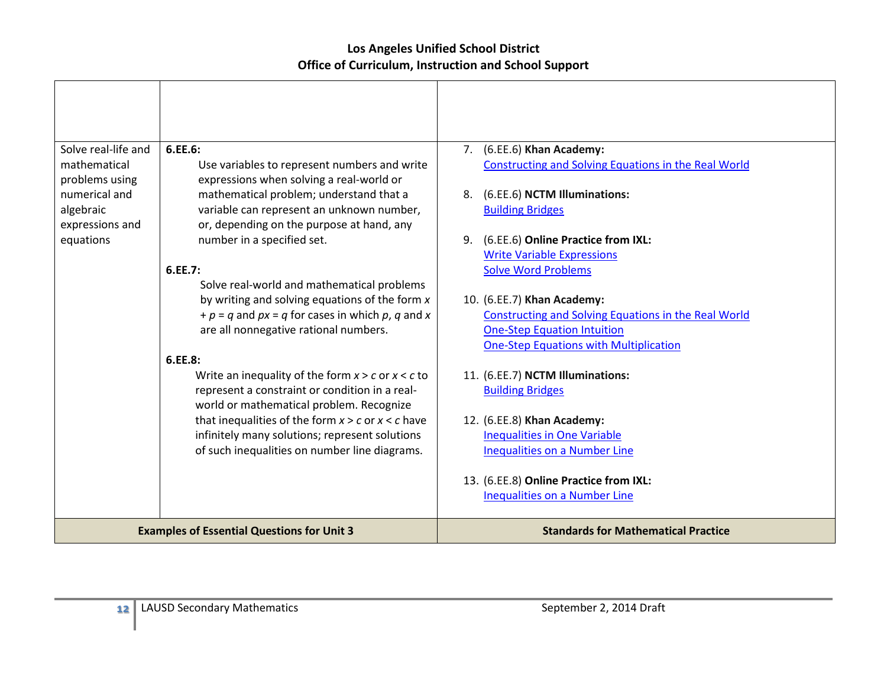| Solve real-life and                           | 6.EE.6:                                                                                                                                             | 7. (6.EE.6) Khan Academy:                                                                  |
|-----------------------------------------------|-----------------------------------------------------------------------------------------------------------------------------------------------------|--------------------------------------------------------------------------------------------|
| mathematical<br>problems using                | Use variables to represent numbers and write<br>expressions when solving a real-world or                                                            | Constructing and Solving Equations in the Real World                                       |
| numerical and<br>algebraic<br>expressions and | mathematical problem; understand that a<br>variable can represent an unknown number,<br>or, depending on the purpose at hand, any                   | 8. (6.EE.6) NCTM Illuminations:<br><b>Building Bridges</b>                                 |
| equations                                     | number in a specified set.                                                                                                                          | (6.EE.6) Online Practice from IXL:<br>9.                                                   |
|                                               | 6.EE.7:                                                                                                                                             | <b>Write Variable Expressions</b><br><b>Solve Word Problems</b>                            |
|                                               | Solve real-world and mathematical problems                                                                                                          |                                                                                            |
|                                               | by writing and solving equations of the form x                                                                                                      | 10. (6.EE.7) Khan Academy:                                                                 |
|                                               | $+p = q$ and $px = q$ for cases in which p, q and x<br>are all nonnegative rational numbers.                                                        | Constructing and Solving Equations in the Real World<br><b>One-Step Equation Intuition</b> |
|                                               |                                                                                                                                                     | <b>One-Step Equations with Multiplication</b>                                              |
|                                               | 6.EE.8:                                                                                                                                             |                                                                                            |
|                                               | Write an inequality of the form $x > c$ or $x < c$ to<br>represent a constraint or condition in a real-<br>world or mathematical problem. Recognize | 11. (6.EE.7) NCTM Illuminations:<br><b>Building Bridges</b>                                |
|                                               | that inequalities of the form $x > c$ or $x < c$ have                                                                                               | 12. (6.EE.8) Khan Academy:                                                                 |
|                                               | infinitely many solutions; represent solutions                                                                                                      | <b>Inequalities in One Variable</b>                                                        |
|                                               | of such inequalities on number line diagrams.                                                                                                       | <b>Inequalities on a Number Line</b>                                                       |
|                                               |                                                                                                                                                     | 13. (6.EE.8) Online Practice from IXL:                                                     |
|                                               |                                                                                                                                                     | <b>Inequalities on a Number Line</b>                                                       |
|                                               | <b>Examples of Essential Questions for Unit 3</b>                                                                                                   | <b>Standards for Mathematical Practice</b>                                                 |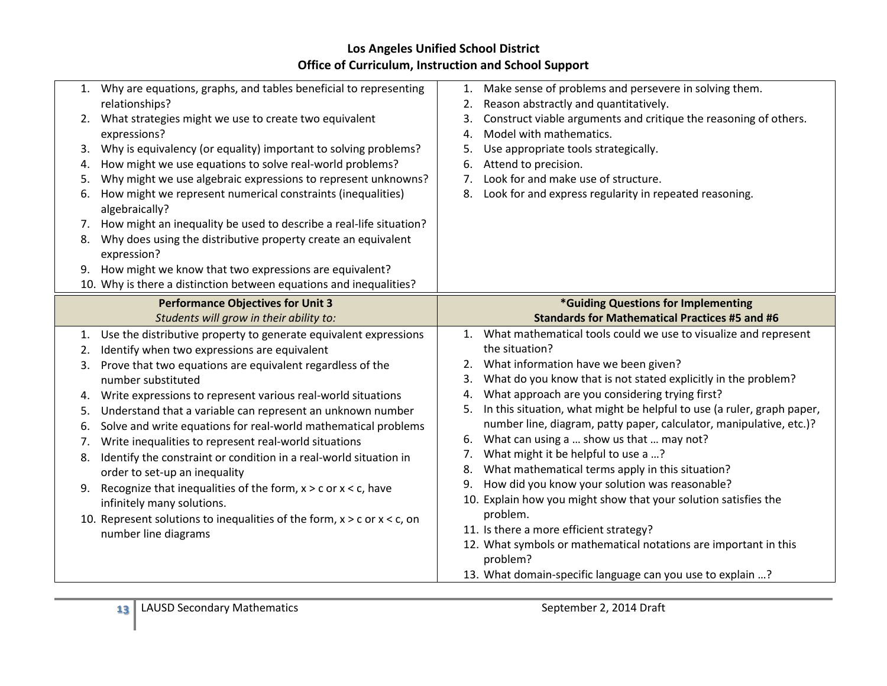|    | 1. Why are equations, graphs, and tables beneficial to representing             | Make sense of problems and persevere in solving them.<br>1.                  |
|----|---------------------------------------------------------------------------------|------------------------------------------------------------------------------|
|    | relationships?                                                                  | Reason abstractly and quantitatively.<br>2.                                  |
| 2. | What strategies might we use to create two equivalent                           | Construct viable arguments and critique the reasoning of others.<br>3.       |
|    | expressions?                                                                    | Model with mathematics.<br>4.                                                |
| 3. | Why is equivalency (or equality) important to solving problems?                 | Use appropriate tools strategically.<br>5.                                   |
| 4. | How might we use equations to solve real-world problems?                        | Attend to precision.<br>6.                                                   |
| 5. | Why might we use algebraic expressions to represent unknowns?                   | Look for and make use of structure.<br>7.                                    |
| 6. | How might we represent numerical constraints (inequalities)<br>algebraically?   | Look for and express regularity in repeated reasoning.<br>8.                 |
| 7. | How might an inequality be used to describe a real-life situation?              |                                                                              |
| 8. | Why does using the distributive property create an equivalent                   |                                                                              |
|    | expression?                                                                     |                                                                              |
| 9. | How might we know that two expressions are equivalent?                          |                                                                              |
|    | 10. Why is there a distinction between equations and inequalities?              |                                                                              |
|    | <b>Performance Objectives for Unit 3</b>                                        | *Guiding Questions for Implementing                                          |
|    | Students will grow in their ability to:                                         | <b>Standards for Mathematical Practices #5 and #6</b>                        |
|    |                                                                                 |                                                                              |
| 1. | Use the distributive property to generate equivalent expressions                | 1. What mathematical tools could we use to visualize and represent           |
| 2. | Identify when two expressions are equivalent                                    | the situation?                                                               |
| 3. |                                                                                 | What information have we been given?<br>2.                                   |
|    | Prove that two equations are equivalent regardless of the<br>number substituted | What do you know that is not stated explicitly in the problem?<br>3.         |
| 4. | Write expressions to represent various real-world situations                    | What approach are you considering trying first?<br>4.                        |
| 5. | Understand that a variable can represent an unknown number                      | In this situation, what might be helpful to use (a ruler, graph paper,<br>5. |
| 6. | Solve and write equations for real-world mathematical problems                  | number line, diagram, patty paper, calculator, manipulative, etc.)?          |
| 7. |                                                                                 | What can using a  show us that  may not?<br>6.                               |
| 8. | Write inequalities to represent real-world situations                           | What might it be helpful to use a ?<br>7.                                    |
|    | Identify the constraint or condition in a real-world situation in               | What mathematical terms apply in this situation?<br>8.                       |
|    | order to set-up an inequality                                                   | How did you know your solution was reasonable?<br>9.                         |
| 9. | Recognize that inequalities of the form, $x > c$ or $x < c$ , have              | 10. Explain how you might show that your solution satisfies the              |
|    | infinitely many solutions.                                                      | problem.                                                                     |
|    | 10. Represent solutions to inequalities of the form, $x > c$ or $x < c$ , on    | 11. Is there a more efficient strategy?                                      |
|    | number line diagrams                                                            | 12. What symbols or mathematical notations are important in this             |
|    |                                                                                 | problem?<br>13. What domain-specific language can you use to explain ?       |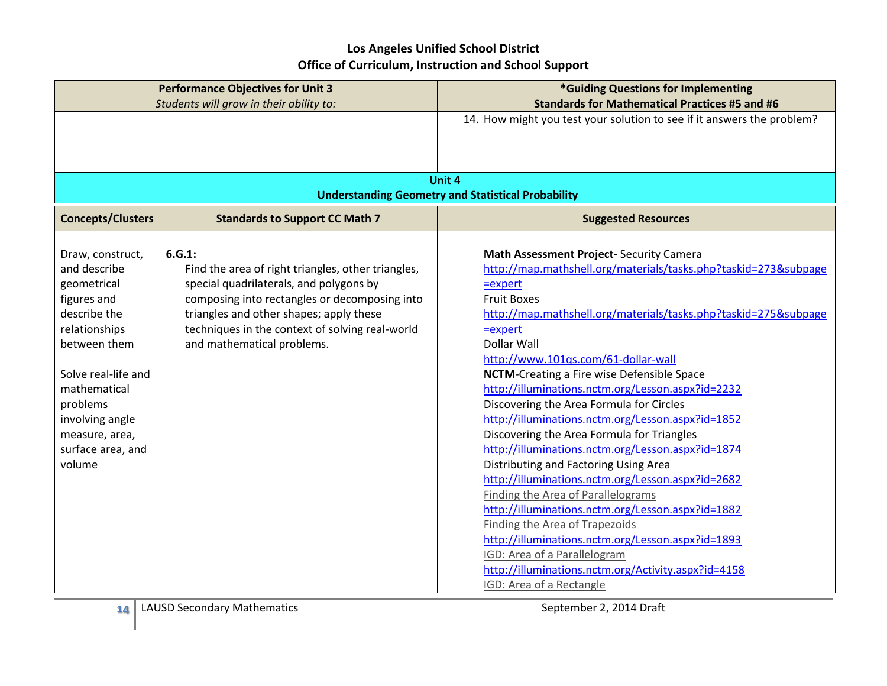| <b>Performance Objectives for Unit 3</b><br>Students will grow in their ability to:                                                                                                                                                    |                                                                                                                                                                                                                                                                                      | *Guiding Questions for Implementing<br><b>Standards for Mathematical Practices #5 and #6</b>                                                                                                                                                                                                                                                                                                                                                                                                                                                                                                                                                                                                                                                                                                                                                                                                                                                                                             |
|----------------------------------------------------------------------------------------------------------------------------------------------------------------------------------------------------------------------------------------|--------------------------------------------------------------------------------------------------------------------------------------------------------------------------------------------------------------------------------------------------------------------------------------|------------------------------------------------------------------------------------------------------------------------------------------------------------------------------------------------------------------------------------------------------------------------------------------------------------------------------------------------------------------------------------------------------------------------------------------------------------------------------------------------------------------------------------------------------------------------------------------------------------------------------------------------------------------------------------------------------------------------------------------------------------------------------------------------------------------------------------------------------------------------------------------------------------------------------------------------------------------------------------------|
|                                                                                                                                                                                                                                        |                                                                                                                                                                                                                                                                                      | 14. How might you test your solution to see if it answers the problem?                                                                                                                                                                                                                                                                                                                                                                                                                                                                                                                                                                                                                                                                                                                                                                                                                                                                                                                   |
|                                                                                                                                                                                                                                        |                                                                                                                                                                                                                                                                                      |                                                                                                                                                                                                                                                                                                                                                                                                                                                                                                                                                                                                                                                                                                                                                                                                                                                                                                                                                                                          |
|                                                                                                                                                                                                                                        |                                                                                                                                                                                                                                                                                      |                                                                                                                                                                                                                                                                                                                                                                                                                                                                                                                                                                                                                                                                                                                                                                                                                                                                                                                                                                                          |
|                                                                                                                                                                                                                                        |                                                                                                                                                                                                                                                                                      | Unit 4<br><b>Understanding Geometry and Statistical Probability</b>                                                                                                                                                                                                                                                                                                                                                                                                                                                                                                                                                                                                                                                                                                                                                                                                                                                                                                                      |
| <b>Concepts/Clusters</b>                                                                                                                                                                                                               | <b>Standards to Support CC Math 7</b>                                                                                                                                                                                                                                                | <b>Suggested Resources</b>                                                                                                                                                                                                                                                                                                                                                                                                                                                                                                                                                                                                                                                                                                                                                                                                                                                                                                                                                               |
| Draw, construct,<br>and describe<br>geometrical<br>figures and<br>describe the<br>relationships<br>between them<br>Solve real-life and<br>mathematical<br>problems<br>involving angle<br>measure, area,<br>surface area, and<br>volume | 6.G.1:<br>Find the area of right triangles, other triangles,<br>special quadrilaterals, and polygons by<br>composing into rectangles or decomposing into<br>triangles and other shapes; apply these<br>techniques in the context of solving real-world<br>and mathematical problems. | Math Assessment Project-Security Camera<br>http://map.mathshell.org/materials/tasks.php?taskid=273&subpage<br>$=$ expert<br><b>Fruit Boxes</b><br>http://map.mathshell.org/materials/tasks.php?taskid=275&subpage<br>$=$ expert<br>Dollar Wall<br>http://www.101qs.com/61-dollar-wall<br><b>NCTM-Creating a Fire wise Defensible Space</b><br>http://illuminations.nctm.org/Lesson.aspx?id=2232<br>Discovering the Area Formula for Circles<br>http://illuminations.nctm.org/Lesson.aspx?id=1852<br>Discovering the Area Formula for Triangles<br>http://illuminations.nctm.org/Lesson.aspx?id=1874<br>Distributing and Factoring Using Area<br>http://illuminations.nctm.org/Lesson.aspx?id=2682<br><b>Finding the Area of Parallelograms</b><br>http://illuminations.nctm.org/Lesson.aspx?id=1882<br><b>Finding the Area of Trapezoids</b><br>http://illuminations.nctm.org/Lesson.aspx?id=1893<br>IGD: Area of a Parallelogram<br>http://illuminations.nctm.org/Activity.aspx?id=4158 |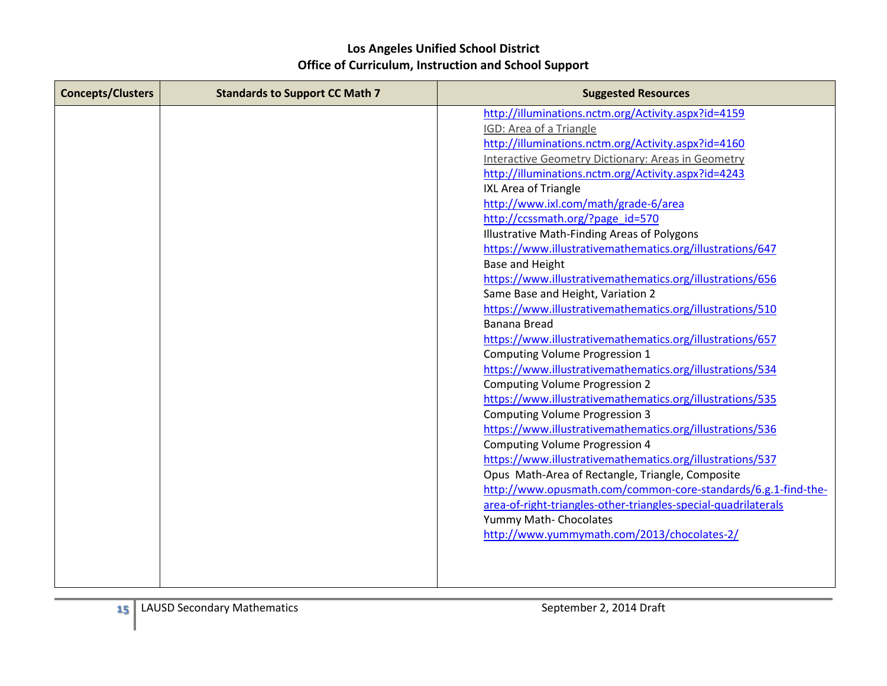| <b>Concepts/Clusters</b> | <b>Standards to Support CC Math 7</b> | <b>Suggested Resources</b>                                     |
|--------------------------|---------------------------------------|----------------------------------------------------------------|
|                          |                                       | http://illuminations.nctm.org/Activity.aspx?id=4159            |
|                          |                                       | <b>IGD: Area of a Triangle</b>                                 |
|                          |                                       | http://illuminations.nctm.org/Activity.aspx?id=4160            |
|                          |                                       | Interactive Geometry Dictionary: Areas in Geometry             |
|                          |                                       | http://illuminations.nctm.org/Activity.aspx?id=4243            |
|                          |                                       | IXL Area of Triangle                                           |
|                          |                                       | http://www.ixl.com/math/grade-6/area                           |
|                          |                                       | http://ccssmath.org/?page id=570                               |
|                          |                                       | Illustrative Math-Finding Areas of Polygons                    |
|                          |                                       | https://www.illustrativemathematics.org/illustrations/647      |
|                          |                                       | <b>Base and Height</b>                                         |
|                          |                                       | https://www.illustrativemathematics.org/illustrations/656      |
|                          |                                       | Same Base and Height, Variation 2                              |
|                          |                                       | https://www.illustrativemathematics.org/illustrations/510      |
|                          |                                       | Banana Bread                                                   |
|                          |                                       | https://www.illustrativemathematics.org/illustrations/657      |
|                          |                                       | Computing Volume Progression 1                                 |
|                          |                                       | https://www.illustrativemathematics.org/illustrations/534      |
|                          |                                       | <b>Computing Volume Progression 2</b>                          |
|                          |                                       | https://www.illustrativemathematics.org/illustrations/535      |
|                          |                                       | <b>Computing Volume Progression 3</b>                          |
|                          |                                       | https://www.illustrativemathematics.org/illustrations/536      |
|                          |                                       | <b>Computing Volume Progression 4</b>                          |
|                          |                                       | https://www.illustrativemathematics.org/illustrations/537      |
|                          |                                       | Opus Math-Area of Rectangle, Triangle, Composite               |
|                          |                                       | http://www.opusmath.com/common-core-standards/6.g.1-find-the-  |
|                          |                                       | area-of-right-triangles-other-triangles-special-quadrilaterals |
|                          |                                       | Yummy Math- Chocolates                                         |
|                          |                                       | http://www.yummymath.com/2013/chocolates-2/                    |
|                          |                                       |                                                                |
|                          |                                       |                                                                |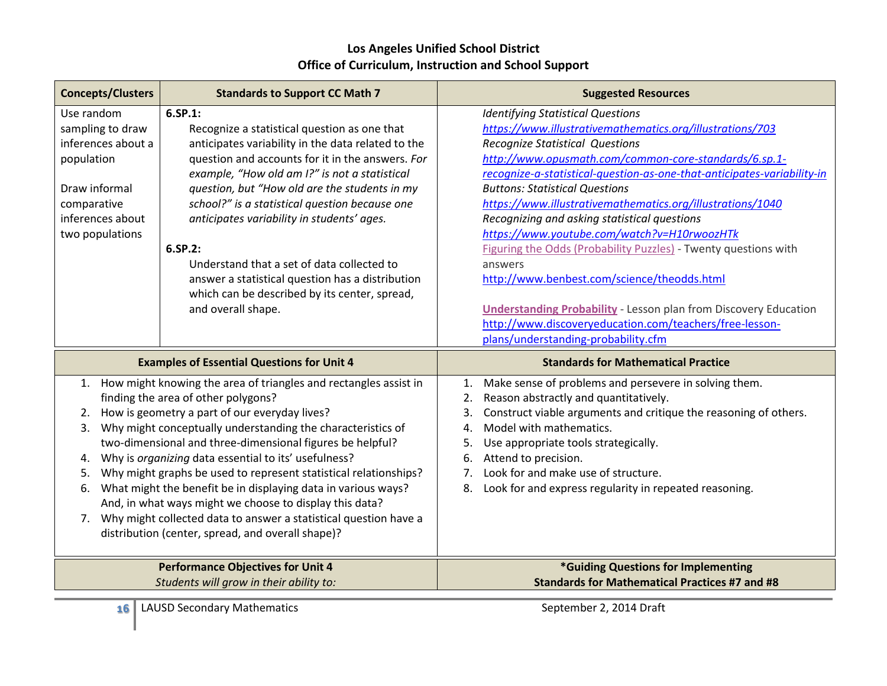| <b>Concepts/Clusters</b><br><b>Standards to Support CC Math 7</b> |                                                                     | <b>Suggested Resources</b>                                              |
|-------------------------------------------------------------------|---------------------------------------------------------------------|-------------------------------------------------------------------------|
| Use random                                                        | 6.SP.1:                                                             | <b>Identifying Statistical Questions</b>                                |
| sampling to draw                                                  | Recognize a statistical question as one that                        | https://www.illustrativemathematics.org/illustrations/703               |
| inferences about a                                                | anticipates variability in the data related to the                  | <b>Recognize Statistical Questions</b>                                  |
| population                                                        | question and accounts for it in the answers. For                    | http://www.opusmath.com/common-core-standards/6.sp.1-                   |
|                                                                   | example, "How old am I?" is not a statistical                       | recognize-a-statistical-question-as-one-that-anticipates-variability-in |
| Draw informal                                                     | question, but "How old are the students in my                       | <b>Buttons: Statistical Questions</b>                                   |
| comparative                                                       | school?" is a statistical question because one                      | https://www.illustrativemathematics.org/illustrations/1040              |
| inferences about                                                  | anticipates variability in students' ages.                          | Recognizing and asking statistical questions                            |
| two populations                                                   |                                                                     | https://www.youtube.com/watch?v=H10rwoozHTk                             |
|                                                                   | 6.SP.2:                                                             | Figuring the Odds (Probability Puzzles) - Twenty questions with         |
|                                                                   | Understand that a set of data collected to                          | answers                                                                 |
|                                                                   | answer a statistical question has a distribution                    | http://www.benbest.com/science/theodds.html                             |
|                                                                   | which can be described by its center, spread,                       |                                                                         |
|                                                                   | and overall shape.                                                  | <b>Understanding Probability</b> - Lesson plan from Discovery Education |
|                                                                   |                                                                     | http://www.discoveryeducation.com/teachers/free-lesson-                 |
|                                                                   |                                                                     | plans/understanding-probability.cfm                                     |
|                                                                   |                                                                     |                                                                         |
|                                                                   | <b>Examples of Essential Questions for Unit 4</b>                   | <b>Standards for Mathematical Practice</b>                              |
|                                                                   | 1. How might knowing the area of triangles and rectangles assist in | Make sense of problems and persevere in solving them.<br>1.             |
|                                                                   | finding the area of other polygons?                                 | Reason abstractly and quantitatively.<br>2.                             |
| 2.                                                                | How is geometry a part of our everyday lives?                       | Construct viable arguments and critique the reasoning of others.<br>3.  |
| 3.                                                                | Why might conceptually understanding the characteristics of         | Model with mathematics.<br>4.                                           |
|                                                                   | two-dimensional and three-dimensional figures be helpful?           | Use appropriate tools strategically.<br>5.                              |
| 4.                                                                | Why is organizing data essential to its' usefulness?                | Attend to precision.<br>6.                                              |
| 5.                                                                | Why might graphs be used to represent statistical relationships?    | Look for and make use of structure.<br>7.                               |
| 6.                                                                | What might the benefit be in displaying data in various ways?       | Look for and express regularity in repeated reasoning.<br>8.            |
|                                                                   | And, in what ways might we choose to display this data?             |                                                                         |
| 7.                                                                | Why might collected data to answer a statistical question have a    |                                                                         |
|                                                                   | distribution (center, spread, and overall shape)?                   |                                                                         |
|                                                                   | <b>Performance Objectives for Unit 4</b>                            | *Guiding Questions for Implementing                                     |
|                                                                   | Students will grow in their ability to:                             | <b>Standards for Mathematical Practices #7 and #8</b>                   |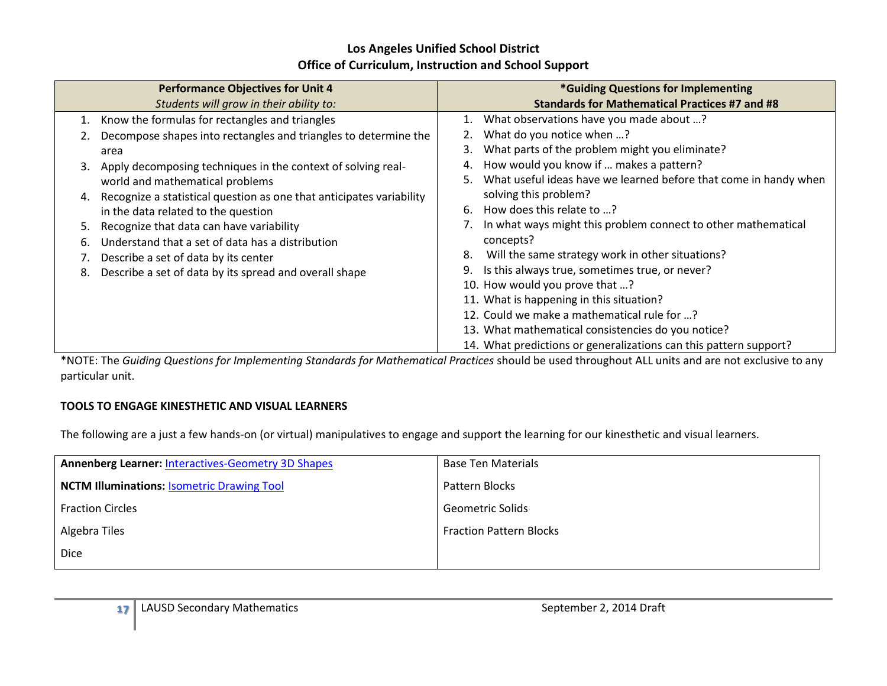|    | <b>Performance Objectives for Unit 4</b>                             | *Guiding Questions for Implementing                                    |
|----|----------------------------------------------------------------------|------------------------------------------------------------------------|
|    | Students will grow in their ability to:                              | <b>Standards for Mathematical Practices #7 and #8</b>                  |
| 1. | Know the formulas for rectangles and triangles                       | 1. What observations have you made about ?                             |
|    | Decompose shapes into rectangles and triangles to determine the      | What do you notice when ?                                              |
|    | area                                                                 | What parts of the problem might you eliminate?<br>3.                   |
| 3. | Apply decomposing techniques in the context of solving real-         | How would you know if  makes a pattern?<br>4.                          |
|    | world and mathematical problems                                      | What useful ideas have we learned before that come in handy when<br>5. |
| 4. | Recognize a statistical question as one that anticipates variability | solving this problem?                                                  |
|    | in the data related to the question                                  | How does this relate to ?<br>6.                                        |
| 5. | Recognize that data can have variability                             | In what ways might this problem connect to other mathematical          |
| 6. | Understand that a set of data has a distribution                     | concepts?                                                              |
|    | Describe a set of data by its center                                 | Will the same strategy work in other situations?<br>8.                 |
| 8. | Describe a set of data by its spread and overall shape               | Is this always true, sometimes true, or never?<br>9.                   |
|    |                                                                      | 10. How would you prove that ?                                         |
|    |                                                                      | 11. What is happening in this situation?                               |
|    |                                                                      | 12. Could we make a mathematical rule for ?                            |
|    |                                                                      | 13. What mathematical consistencies do you notice?                     |
|    |                                                                      | 14. What predictions or generalizations can this pattern support?      |

\*NOTE: The *Guiding Questions for Implementing Standards for Mathematical Practices* should be used throughout ALL units and are not exclusive to any particular unit.

#### **TOOLS TO ENGAGE KINESTHETIC AND VISUAL LEARNERS**

The following are a just a few hands-on (or virtual) manipulatives to engage and support the learning for our kinesthetic and visual learners.

| <b>Annenberg Learner: Interactives-Geometry 3D Shapes</b> | <b>Base Ten Materials</b>      |
|-----------------------------------------------------------|--------------------------------|
| <b>NCTM Illuminations: Isometric Drawing Tool</b>         | Pattern Blocks                 |
| <b>Fraction Circles</b>                                   | <b>Geometric Solids</b>        |
| Algebra Tiles                                             | <b>Fraction Pattern Blocks</b> |
| <b>Dice</b>                                               |                                |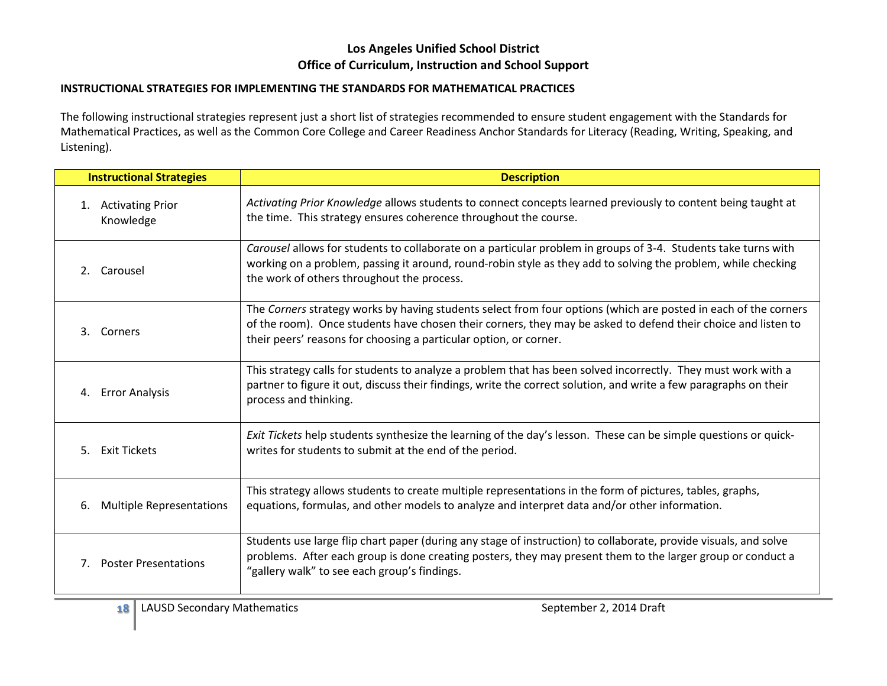#### **INSTRUCTIONAL STRATEGIES FOR IMPLEMENTING THE STANDARDS FOR MATHEMATICAL PRACTICES**

The following instructional strategies represent just a short list of strategies recommended to ensure student engagement with the Standards for Mathematical Practices, as well as the Common Core College and Career Readiness Anchor Standards for Literacy (Reading, Writing, Speaking, and Listening).

| <b>Instructional Strategies</b>            | <b>Description</b>                                                                                                                                                                                                                                                                                    |
|--------------------------------------------|-------------------------------------------------------------------------------------------------------------------------------------------------------------------------------------------------------------------------------------------------------------------------------------------------------|
| 1. Activating Prior<br>Knowledge           | Activating Prior Knowledge allows students to connect concepts learned previously to content being taught at<br>the time. This strategy ensures coherence throughout the course.                                                                                                                      |
| 2. Carousel                                | Carousel allows for students to collaborate on a particular problem in groups of 3-4. Students take turns with<br>working on a problem, passing it around, round-robin style as they add to solving the problem, while checking<br>the work of others throughout the process.                         |
| 3. Corners                                 | The Corners strategy works by having students select from four options (which are posted in each of the corners<br>of the room). Once students have chosen their corners, they may be asked to defend their choice and listen to<br>their peers' reasons for choosing a particular option, or corner. |
| 4. Error Analysis                          | This strategy calls for students to analyze a problem that has been solved incorrectly. They must work with a<br>partner to figure it out, discuss their findings, write the correct solution, and write a few paragraphs on their<br>process and thinking.                                           |
| 5. Exit Tickets                            | Exit Tickets help students synthesize the learning of the day's lesson. These can be simple questions or quick-<br>writes for students to submit at the end of the period.                                                                                                                            |
| <b>Multiple Representations</b><br>6.      | This strategy allows students to create multiple representations in the form of pictures, tables, graphs,<br>equations, formulas, and other models to analyze and interpret data and/or other information.                                                                                            |
| <b>Poster Presentations</b><br>$7_{\cdot}$ | Students use large flip chart paper (during any stage of instruction) to collaborate, provide visuals, and solve<br>problems. After each group is done creating posters, they may present them to the larger group or conduct a<br>"gallery walk" to see each group's findings.                       |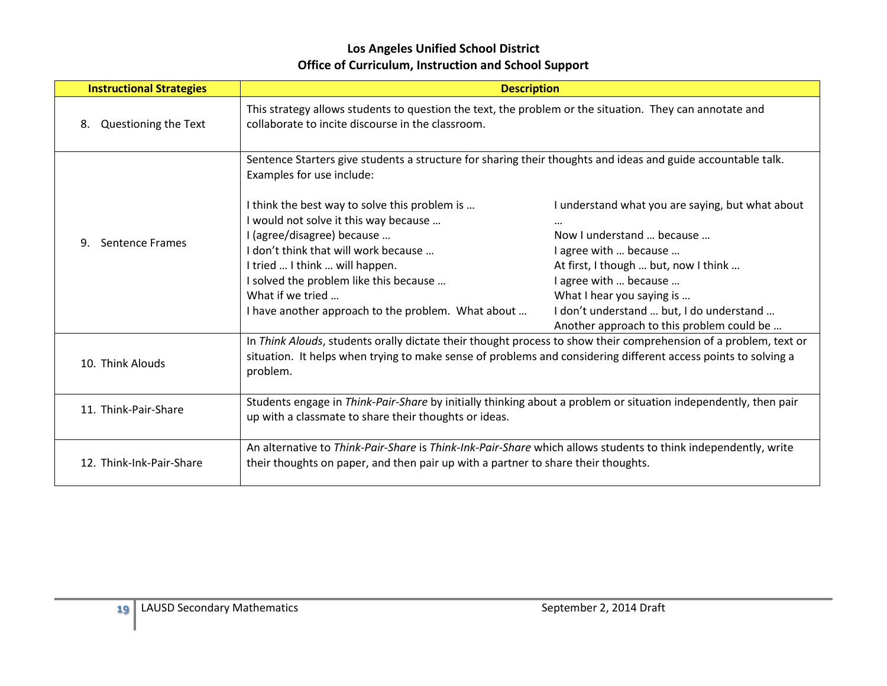| <b>Instructional Strategies</b> | <b>Description</b>                                                                                                                                                                                                                                                                                                 |                                                                                                                                                                                                                                                                                                           |
|---------------------------------|--------------------------------------------------------------------------------------------------------------------------------------------------------------------------------------------------------------------------------------------------------------------------------------------------------------------|-----------------------------------------------------------------------------------------------------------------------------------------------------------------------------------------------------------------------------------------------------------------------------------------------------------|
| Questioning the Text<br>8.      | This strategy allows students to question the text, the problem or the situation. They can annotate and<br>collaborate to incite discourse in the classroom.                                                                                                                                                       |                                                                                                                                                                                                                                                                                                           |
|                                 | Sentence Starters give students a structure for sharing their thoughts and ideas and guide accountable talk.<br>Examples for use include:                                                                                                                                                                          |                                                                                                                                                                                                                                                                                                           |
| <b>Sentence Frames</b><br>9.    | I think the best way to solve this problem is<br>I would not solve it this way because<br>I (agree/disagree) because<br>I don't think that will work because<br>I tried  I think  will happen.<br>I solved the problem like this because<br>What if we tried<br>I have another approach to the problem. What about | I understand what you are saying, but what about<br>$\cdots$<br>Now I understand  because<br>I agree with  because<br>At first, I though  but, now I think<br>I agree with  because<br>What I hear you saying is<br>I don't understand  but, I do understand<br>Another approach to this problem could be |
| 10. Think Alouds                | In Think Alouds, students orally dictate their thought process to show their comprehension of a problem, text or<br>situation. It helps when trying to make sense of problems and considering different access points to solving a<br>problem.                                                                     |                                                                                                                                                                                                                                                                                                           |
| 11. Think-Pair-Share            | Students engage in Think-Pair-Share by initially thinking about a problem or situation independently, then pair<br>up with a classmate to share their thoughts or ideas.                                                                                                                                           |                                                                                                                                                                                                                                                                                                           |
| 12. Think-Ink-Pair-Share        | An alternative to Think-Pair-Share is Think-Ink-Pair-Share which allows students to think independently, write<br>their thoughts on paper, and then pair up with a partner to share their thoughts.                                                                                                                |                                                                                                                                                                                                                                                                                                           |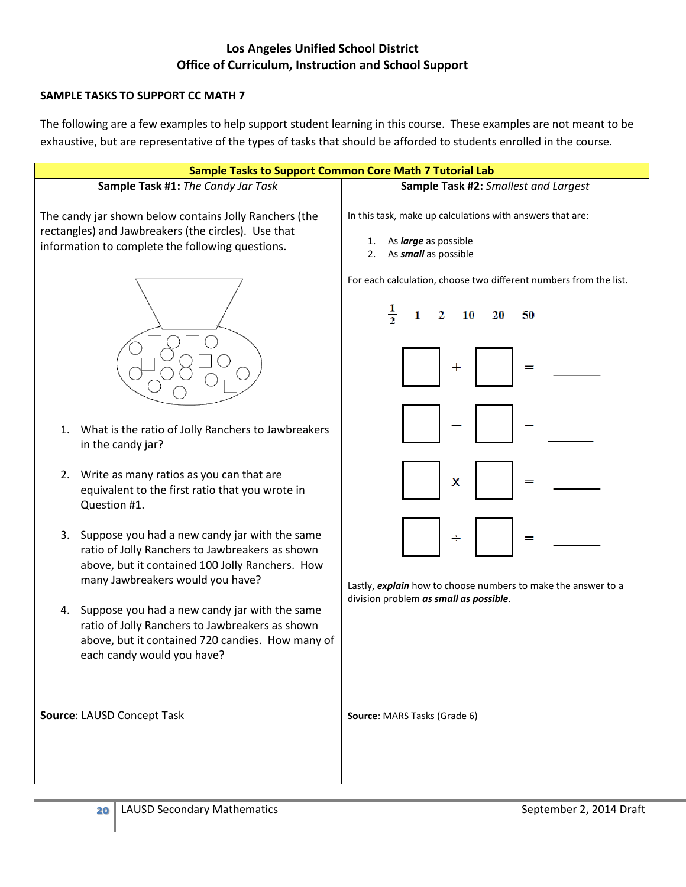#### **SAMPLE TASKS TO SUPPORT CC MATH 7**

The following are a few examples to help support student learning in this course. These examples are not meant to be exhaustive, but are representative of the types of tasks that should be afforded to students enrolled in the course.

| <b>Sample Tasks to Support Common Core Math 7 Tutorial Lab</b>                                                                                                                                |                                                                                                                                |
|-----------------------------------------------------------------------------------------------------------------------------------------------------------------------------------------------|--------------------------------------------------------------------------------------------------------------------------------|
| Sample Task #1: The Candy Jar Task                                                                                                                                                            | Sample Task #2: Smallest and Largest                                                                                           |
| The candy jar shown below contains Jolly Ranchers (the<br>rectangles) and Jawbreakers (the circles). Use that<br>information to complete the following questions.                             | In this task, make up calculations with answers that are:<br>As <i>large</i> as possible<br>1.<br>As small as possible<br>2.   |
|                                                                                                                                                                                               | For each calculation, choose two different numbers from the list.<br>$\frac{1}{2}$<br>10<br>50<br>2<br>20<br>1<br>$\mathrm{+}$ |
| What is the ratio of Jolly Ranchers to Jawbreakers<br>1.<br>in the candy jar?                                                                                                                 | =                                                                                                                              |
| 2. Write as many ratios as you can that are<br>equivalent to the first ratio that you wrote in<br>Question #1.                                                                                | X<br>=                                                                                                                         |
| 3.<br>Suppose you had a new candy jar with the same<br>ratio of Jolly Ranchers to Jawbreakers as shown<br>above, but it contained 100 Jolly Ranchers. How<br>many Jawbreakers would you have? | ÷<br>=<br>Lastly, explain how to choose numbers to make the answer to a                                                        |
| 4. Suppose you had a new candy jar with the same<br>ratio of Jolly Ranchers to Jawbreakers as shown<br>above, but it contained 720 candies. How many of<br>each candy would you have?         | division problem as small as possible.                                                                                         |
| Source: LAUSD Concept Task                                                                                                                                                                    | Source: MARS Tasks (Grade 6)                                                                                                   |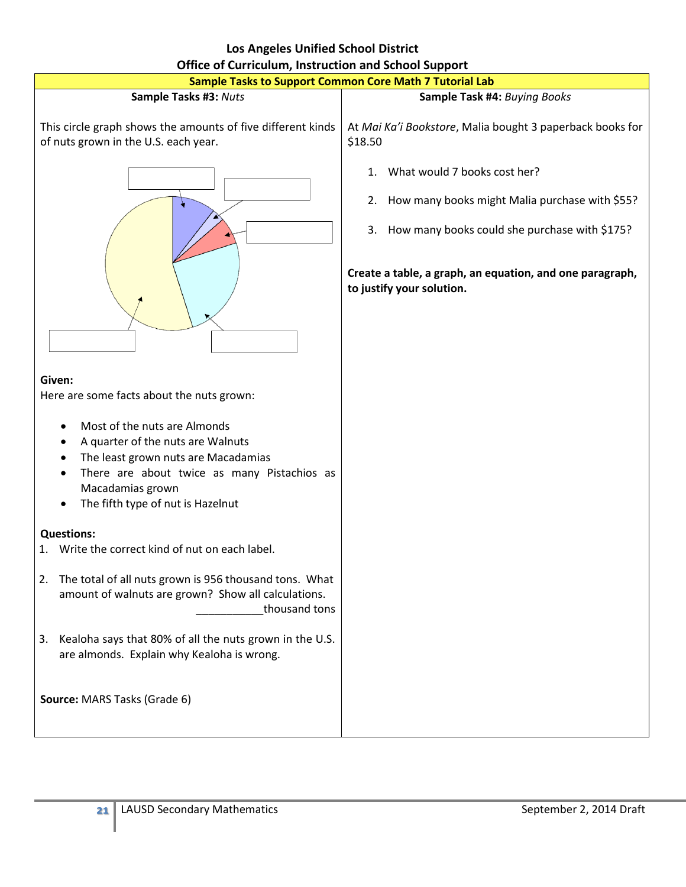| <b>Los Angeles Unified School District</b>                                                                                                                                                                                                                                                                                                                                                                                                                                                                                                                                                                                                                                                 |                                                                                                                                                                                                                                   |  |  |
|--------------------------------------------------------------------------------------------------------------------------------------------------------------------------------------------------------------------------------------------------------------------------------------------------------------------------------------------------------------------------------------------------------------------------------------------------------------------------------------------------------------------------------------------------------------------------------------------------------------------------------------------------------------------------------------------|-----------------------------------------------------------------------------------------------------------------------------------------------------------------------------------------------------------------------------------|--|--|
| <b>Office of Curriculum, Instruction and School Support</b>                                                                                                                                                                                                                                                                                                                                                                                                                                                                                                                                                                                                                                |                                                                                                                                                                                                                                   |  |  |
| <b>Sample Tasks to Support Common Core Math 7 Tutorial Lab</b>                                                                                                                                                                                                                                                                                                                                                                                                                                                                                                                                                                                                                             |                                                                                                                                                                                                                                   |  |  |
| Sample Tasks #3: Nuts                                                                                                                                                                                                                                                                                                                                                                                                                                                                                                                                                                                                                                                                      | Sample Task #4: Buying Books                                                                                                                                                                                                      |  |  |
| This circle graph shows the amounts of five different kinds<br>of nuts grown in the U.S. each year.                                                                                                                                                                                                                                                                                                                                                                                                                                                                                                                                                                                        | At Mai Ka'i Bookstore, Malia bought 3 paperback books for<br>\$18.50                                                                                                                                                              |  |  |
| Given:<br>Here are some facts about the nuts grown:<br>Most of the nuts are Almonds<br>$\bullet$<br>A quarter of the nuts are Walnuts<br>$\bullet$<br>The least grown nuts are Macadamias<br>$\bullet$<br>There are about twice as many Pistachios as<br>$\bullet$<br>Macadamias grown<br>The fifth type of nut is Hazelnut<br><b>Questions:</b><br>Write the correct kind of nut on each label.<br>1.<br>The total of all nuts grown is 956 thousand tons. What<br>2.<br>amount of walnuts are grown? Show all calculations.<br>thousand tons<br>3. Kealoha says that 80% of all the nuts grown in the U.S.<br>are almonds. Explain why Kealoha is wrong.<br>Source: MARS Tasks (Grade 6) | 1. What would 7 books cost her?<br>2. How many books might Malia purchase with \$55?<br>3. How many books could she purchase with \$175?<br>Create a table, a graph, an equation, and one paragraph,<br>to justify your solution. |  |  |